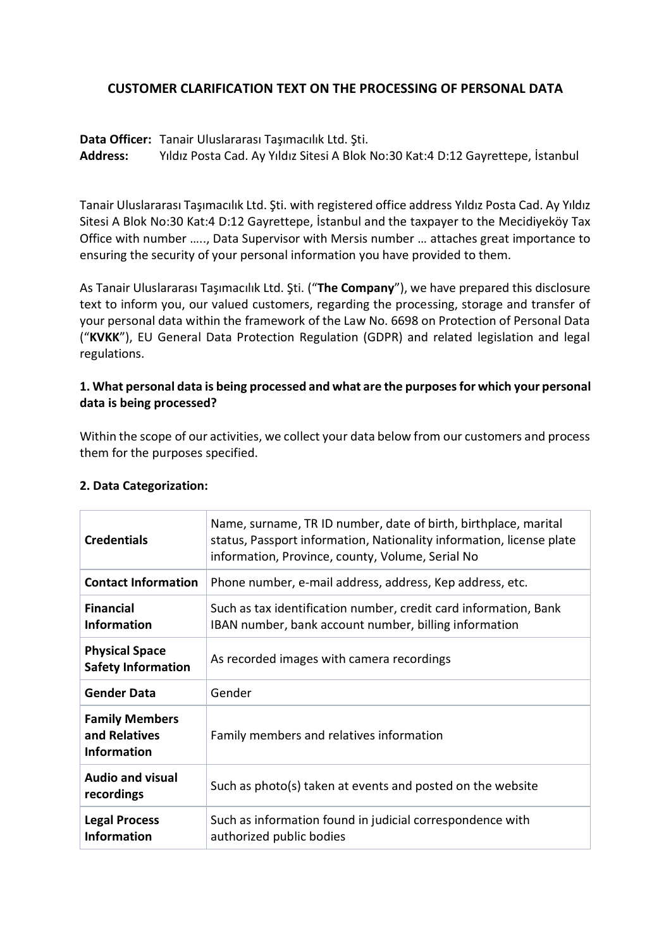### **CUSTOMER CLARIFICATION TEXT ON THE PROCESSING OF PERSONAL DATA**

**Data Officer:** Tanair Uluslararası Taşımacılık Ltd. Şti.

**Address:** Yıldız Posta Cad. Ay Yıldız Sitesi A Blok No:30 Kat:4 D:12 Gayrettepe, İstanbul

Tanair Uluslararası Taşımacılık Ltd. Şti. with registered office address Yıldız Posta Cad. Ay Yıldız Sitesi A Blok No:30 Kat:4 D:12 Gayrettepe, İstanbul and the taxpayer to the Mecidiyeköy Tax Office with number ….., Data Supervisor with Mersis number … attaches great importance to ensuring the security of your personal information you have provided to them.

As Tanair Uluslararası Taşımacılık Ltd. Şti. ("**The Company**"), we have prepared this disclosure text to inform you, our valued customers, regarding the processing, storage and transfer of your personal data within the framework of the Law No. 6698 on Protection of Personal Data ("**KVKK**"), EU General Data Protection Regulation (GDPR) and related legislation and legal regulations.

### **1. What personal data is being processed and what are the purposesfor which your personal data is being processed?**

Within the scope of our activities, we collect your data below from our customers and process them for the purposes specified.

| <b>Credentials</b>                                           | Name, surname, TR ID number, date of birth, birthplace, marital<br>status, Passport information, Nationality information, license plate<br>information, Province, county, Volume, Serial No |  |
|--------------------------------------------------------------|---------------------------------------------------------------------------------------------------------------------------------------------------------------------------------------------|--|
| <b>Contact Information</b>                                   | Phone number, e-mail address, address, Kep address, etc.                                                                                                                                    |  |
| <b>Financial</b><br><b>Information</b>                       | Such as tax identification number, credit card information, Bank<br>IBAN number, bank account number, billing information                                                                   |  |
| <b>Physical Space</b><br><b>Safety Information</b>           | As recorded images with camera recordings                                                                                                                                                   |  |
| <b>Gender Data</b>                                           | Gender                                                                                                                                                                                      |  |
| <b>Family Members</b><br>and Relatives<br><b>Information</b> | Family members and relatives information                                                                                                                                                    |  |
| <b>Audio and visual</b><br>recordings                        | Such as photo(s) taken at events and posted on the website                                                                                                                                  |  |
| <b>Legal Process</b><br><b>Information</b>                   | Such as information found in judicial correspondence with<br>authorized public bodies                                                                                                       |  |

#### **2. Data Categorization:**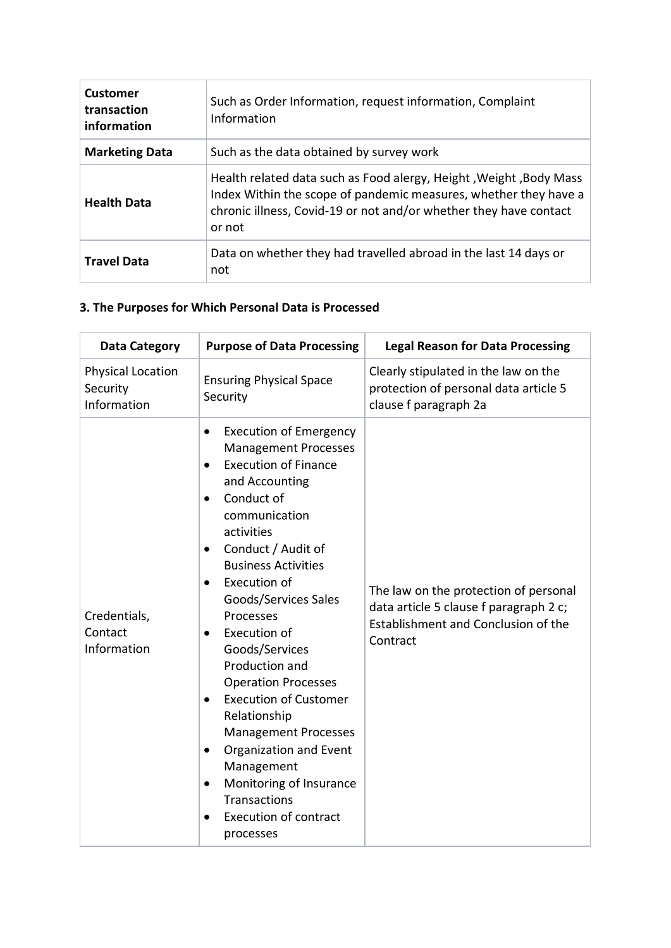| <b>Customer</b><br>transaction<br>information | Such as Order Information, request information, Complaint<br>Information                                                                                                                                              |  |
|-----------------------------------------------|-----------------------------------------------------------------------------------------------------------------------------------------------------------------------------------------------------------------------|--|
| <b>Marketing Data</b>                         | Such as the data obtained by survey work                                                                                                                                                                              |  |
| <b>Health Data</b>                            | Health related data such as Food alergy, Height, Weight, Body Mass<br>Index Within the scope of pandemic measures, whether they have a<br>chronic illness, Covid-19 or not and/or whether they have contact<br>or not |  |
| <b>Travel Data</b>                            | Data on whether they had travelled abroad in the last 14 days or<br>not                                                                                                                                               |  |

## **3. The Purposes for Which Personal Data is Processed**

| <b>Data Category</b>                         | <b>Purpose of Data Processing</b>                                                                                                                                                                                                                                                                                                                                                                                                                                                                                                                                                                                                                                                                     | <b>Legal Reason for Data Processing</b>                                                                                            |
|----------------------------------------------|-------------------------------------------------------------------------------------------------------------------------------------------------------------------------------------------------------------------------------------------------------------------------------------------------------------------------------------------------------------------------------------------------------------------------------------------------------------------------------------------------------------------------------------------------------------------------------------------------------------------------------------------------------------------------------------------------------|------------------------------------------------------------------------------------------------------------------------------------|
| Physical Location<br>Security<br>Information | <b>Ensuring Physical Space</b><br>Security                                                                                                                                                                                                                                                                                                                                                                                                                                                                                                                                                                                                                                                            | Clearly stipulated in the law on the<br>protection of personal data article 5<br>clause f paragraph 2a                             |
| Credentials,<br>Contact<br>Information       | <b>Execution of Emergency</b><br>$\bullet$<br><b>Management Processes</b><br><b>Execution of Finance</b><br>$\bullet$<br>and Accounting<br>Conduct of<br>$\bullet$<br>communication<br>activities<br>Conduct / Audit of<br>$\bullet$<br><b>Business Activities</b><br>Execution of<br>$\bullet$<br>Goods/Services Sales<br>Processes<br>Execution of<br>$\bullet$<br>Goods/Services<br>Production and<br><b>Operation Processes</b><br><b>Execution of Customer</b><br>$\bullet$<br>Relationship<br><b>Management Processes</b><br>Organization and Event<br>٠<br>Management<br>Monitoring of Insurance<br>$\bullet$<br><b>Transactions</b><br><b>Execution of contract</b><br>$\bullet$<br>processes | The law on the protection of personal<br>data article 5 clause f paragraph 2 c;<br>Establishment and Conclusion of the<br>Contract |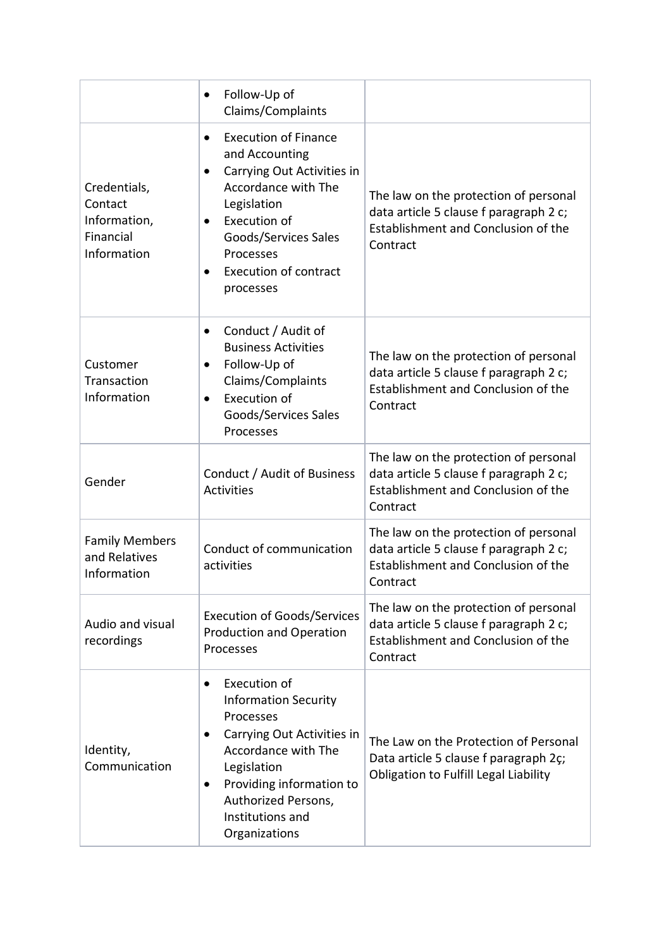|                                                                     | Follow-Up of<br>$\bullet$<br>Claims/Complaints                                                                                                                                                                                                                          |                                                                                                                                    |
|---------------------------------------------------------------------|-------------------------------------------------------------------------------------------------------------------------------------------------------------------------------------------------------------------------------------------------------------------------|------------------------------------------------------------------------------------------------------------------------------------|
| Credentials,<br>Contact<br>Information,<br>Financial<br>Information | <b>Execution of Finance</b><br>$\bullet$<br>and Accounting<br>Carrying Out Activities in<br>$\bullet$<br>Accordance with The<br>Legislation<br>Execution of<br>$\bullet$<br>Goods/Services Sales<br>Processes<br><b>Execution of contract</b><br>$\bullet$<br>processes | The law on the protection of personal<br>data article 5 clause f paragraph 2 c;<br>Establishment and Conclusion of the<br>Contract |
| Customer<br>Transaction<br>Information                              | Conduct / Audit of<br>$\bullet$<br><b>Business Activities</b><br>Follow-Up of<br>$\bullet$<br>Claims/Complaints<br>Execution of<br>$\bullet$<br>Goods/Services Sales<br>Processes                                                                                       | The law on the protection of personal<br>data article 5 clause f paragraph 2 c;<br>Establishment and Conclusion of the<br>Contract |
| Gender                                                              | Conduct / Audit of Business<br><b>Activities</b>                                                                                                                                                                                                                        | The law on the protection of personal<br>data article 5 clause f paragraph 2 c;<br>Establishment and Conclusion of the<br>Contract |
| <b>Family Members</b><br>and Relatives<br>Information               | Conduct of communication<br>activities                                                                                                                                                                                                                                  | The law on the protection of personal<br>data article 5 clause f paragraph 2 c;<br>Establishment and Conclusion of the<br>Contract |
| Audio and visual<br>recordings                                      | <b>Execution of Goods/Services</b><br><b>Production and Operation</b><br>Processes                                                                                                                                                                                      | The law on the protection of personal<br>data article 5 clause f paragraph 2 c;<br>Establishment and Conclusion of the<br>Contract |
| Identity,<br>Communication                                          | Execution of<br>$\bullet$<br><b>Information Security</b><br>Processes<br>Carrying Out Activities in<br>$\bullet$<br>Accordance with The<br>Legislation<br>Providing information to<br>$\bullet$<br>Authorized Persons,<br>Institutions and<br>Organizations             | The Law on the Protection of Personal<br>Data article 5 clause f paragraph 2ç;<br>Obligation to Fulfill Legal Liability            |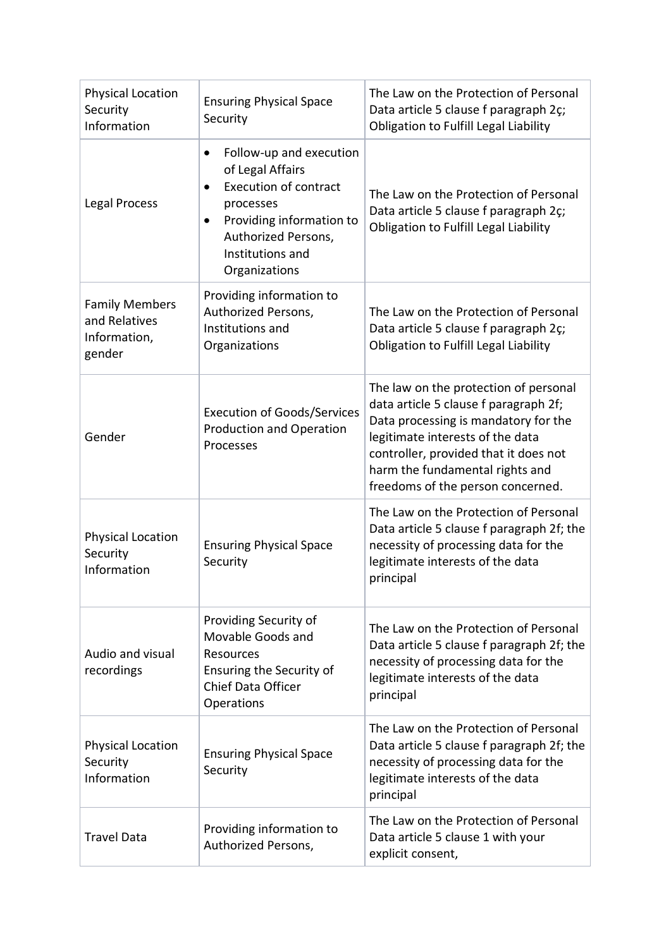| <b>Physical Location</b><br>Security<br>Information              | <b>Ensuring Physical Space</b><br>Security                                                                                                                                                    | The Law on the Protection of Personal<br>Data article 5 clause f paragraph 2c;<br>Obligation to Fulfill Legal Liability                                                                                                                                                     |
|------------------------------------------------------------------|-----------------------------------------------------------------------------------------------------------------------------------------------------------------------------------------------|-----------------------------------------------------------------------------------------------------------------------------------------------------------------------------------------------------------------------------------------------------------------------------|
| Legal Process                                                    | Follow-up and execution<br>$\bullet$<br>of Legal Affairs<br><b>Execution of contract</b><br>processes<br>Providing information to<br>Authorized Persons,<br>Institutions and<br>Organizations | The Law on the Protection of Personal<br>Data article 5 clause f paragraph 2c;<br>Obligation to Fulfill Legal Liability                                                                                                                                                     |
| <b>Family Members</b><br>and Relatives<br>Information,<br>gender | Providing information to<br>Authorized Persons,<br>Institutions and<br>Organizations                                                                                                          | The Law on the Protection of Personal<br>Data article 5 clause f paragraph 2c;<br>Obligation to Fulfill Legal Liability                                                                                                                                                     |
| Gender                                                           | <b>Execution of Goods/Services</b><br><b>Production and Operation</b><br>Processes                                                                                                            | The law on the protection of personal<br>data article 5 clause f paragraph 2f;<br>Data processing is mandatory for the<br>legitimate interests of the data<br>controller, provided that it does not<br>harm the fundamental rights and<br>freedoms of the person concerned. |
| <b>Physical Location</b><br>Security<br>Information              | <b>Ensuring Physical Space</b><br>Security                                                                                                                                                    | The Law on the Protection of Personal<br>Data article 5 clause f paragraph 2f; the<br>necessity of processing data for the<br>legitimate interests of the data<br>principal                                                                                                 |
| Audio and visual<br>recordings                                   | Providing Security of<br>Movable Goods and<br>Resources<br>Ensuring the Security of<br><b>Chief Data Officer</b><br>Operations                                                                | The Law on the Protection of Personal<br>Data article 5 clause f paragraph 2f; the<br>necessity of processing data for the<br>legitimate interests of the data<br>principal                                                                                                 |
| <b>Physical Location</b><br>Security<br>Information              | <b>Ensuring Physical Space</b><br>Security                                                                                                                                                    | The Law on the Protection of Personal<br>Data article 5 clause f paragraph 2f; the<br>necessity of processing data for the<br>legitimate interests of the data<br>principal                                                                                                 |
| <b>Travel Data</b>                                               | Providing information to<br>Authorized Persons,                                                                                                                                               | The Law on the Protection of Personal<br>Data article 5 clause 1 with your<br>explicit consent,                                                                                                                                                                             |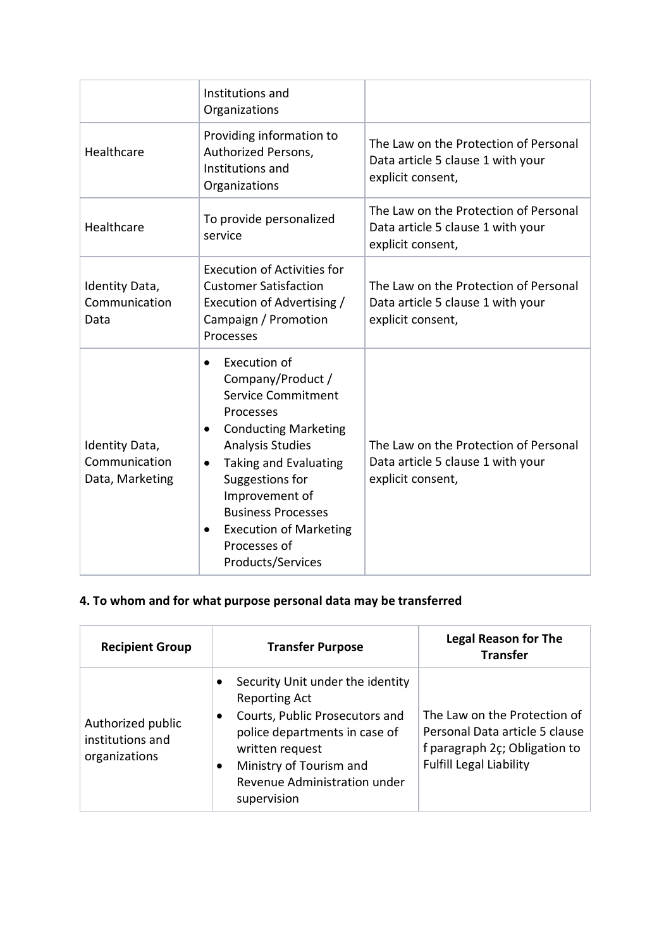|                                                    | Institutions and<br>Organizations                                                                                                                                                                                                                                                                                                                          |                                                                                                 |
|----------------------------------------------------|------------------------------------------------------------------------------------------------------------------------------------------------------------------------------------------------------------------------------------------------------------------------------------------------------------------------------------------------------------|-------------------------------------------------------------------------------------------------|
| Healthcare                                         | Providing information to<br>Authorized Persons,<br>Institutions and<br>Organizations                                                                                                                                                                                                                                                                       | The Law on the Protection of Personal<br>Data article 5 clause 1 with your<br>explicit consent, |
| Healthcare                                         | To provide personalized<br>service                                                                                                                                                                                                                                                                                                                         | The Law on the Protection of Personal<br>Data article 5 clause 1 with your<br>explicit consent, |
| Identity Data,<br>Communication<br>Data            | Execution of Activities for<br><b>Customer Satisfaction</b><br>Execution of Advertising /<br>Campaign / Promotion<br>Processes                                                                                                                                                                                                                             | The Law on the Protection of Personal<br>Data article 5 clause 1 with your<br>explicit consent, |
| Identity Data,<br>Communication<br>Data, Marketing | Execution of<br>$\bullet$<br>Company/Product /<br><b>Service Commitment</b><br>Processes<br><b>Conducting Marketing</b><br>$\bullet$<br><b>Analysis Studies</b><br>Taking and Evaluating<br>$\bullet$<br>Suggestions for<br>Improvement of<br><b>Business Processes</b><br><b>Execution of Marketing</b><br>$\bullet$<br>Processes of<br>Products/Services | The Law on the Protection of Personal<br>Data article 5 clause 1 with your<br>explicit consent, |

# **4. To whom and for what purpose personal data may be transferred**

| <b>Recipient Group</b>                                 | <b>Transfer Purpose</b>                                                                                                                                                                                                                            | <b>Legal Reason for The</b><br><b>Transfer</b>                                                                                    |
|--------------------------------------------------------|----------------------------------------------------------------------------------------------------------------------------------------------------------------------------------------------------------------------------------------------------|-----------------------------------------------------------------------------------------------------------------------------------|
| Authorized public<br>institutions and<br>organizations | Security Unit under the identity<br>$\bullet$<br><b>Reporting Act</b><br>Courts, Public Prosecutors and<br>$\bullet$<br>police departments in case of<br>written request<br>Ministry of Tourism and<br>Revenue Administration under<br>supervision | The Law on the Protection of<br>Personal Data article 5 clause<br>f paragraph 2c; Obligation to<br><b>Fulfill Legal Liability</b> |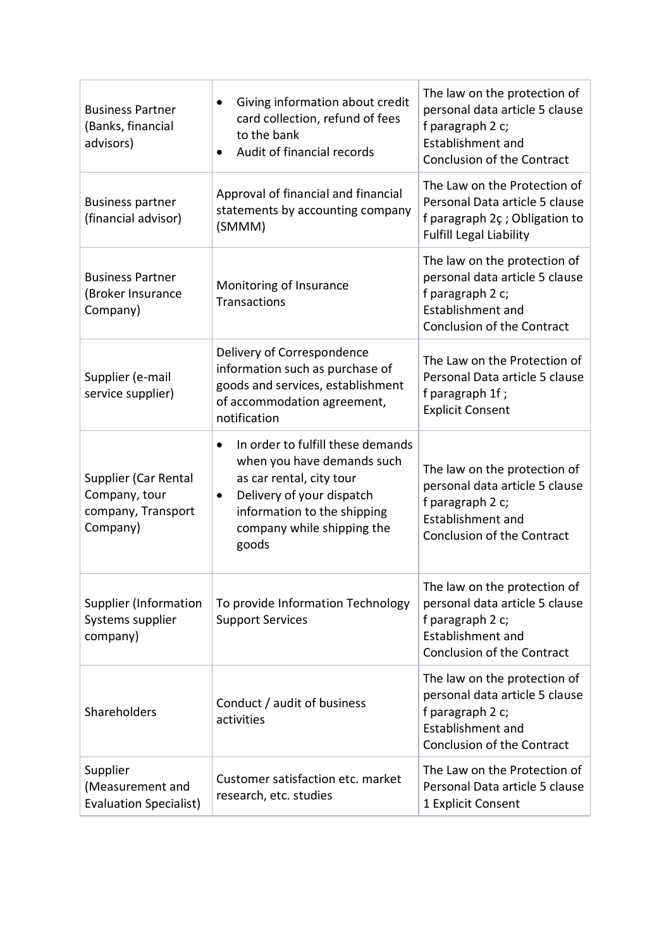| <b>Business Partner</b><br>(Banks, financial<br>advisors)               | Giving information about credit<br>٠<br>card collection, refund of fees<br>to the bank<br>Audit of financial records<br>$\bullet$                                                                                        | The law on the protection of<br>personal data article 5 clause<br>f paragraph 2 c;<br><b>Establishment and</b><br>Conclusion of the Contract |
|-------------------------------------------------------------------------|--------------------------------------------------------------------------------------------------------------------------------------------------------------------------------------------------------------------------|----------------------------------------------------------------------------------------------------------------------------------------------|
| <b>Business partner</b><br>(financial advisor)                          | Approval of financial and financial<br>statements by accounting company<br>(SMMM)                                                                                                                                        | The Law on the Protection of<br>Personal Data article 5 clause<br>f paragraph 2ç ; Obligation to<br><b>Fulfill Legal Liability</b>           |
| <b>Business Partner</b><br>(Broker Insurance<br>Company)                | Monitoring of Insurance<br>Transactions                                                                                                                                                                                  | The law on the protection of<br>personal data article 5 clause<br>f paragraph 2 c;<br>Establishment and<br>Conclusion of the Contract        |
| Supplier (e-mail<br>service supplier)                                   | Delivery of Correspondence<br>information such as purchase of<br>goods and services, establishment<br>of accommodation agreement,<br>notification                                                                        | The Law on the Protection of<br>Personal Data article 5 clause<br>f paragraph 1f;<br><b>Explicit Consent</b>                                 |
| Supplier (Car Rental<br>Company, tour<br>company, Transport<br>Company) | In order to fulfill these demands<br>$\bullet$<br>when you have demands such<br>as car rental, city tour<br>Delivery of your dispatch<br>$\bullet$<br>information to the shipping<br>company while shipping the<br>goods | The law on the protection of<br>personal data article 5 clause<br>f paragraph 2 c;<br>Establishment and<br>Conclusion of the Contract        |
| <b>Supplier (Information</b><br>Systems supplier<br>company)            | To provide Information Technology<br><b>Support Services</b>                                                                                                                                                             | The law on the protection of<br>personal data article 5 clause<br>f paragraph 2 c;<br>Establishment and<br>Conclusion of the Contract        |
| Shareholders                                                            | Conduct / audit of business<br>activities                                                                                                                                                                                | The law on the protection of<br>personal data article 5 clause<br>f paragraph 2 c;<br>Establishment and<br>Conclusion of the Contract        |
| Supplier<br>(Measurement and<br><b>Evaluation Specialist)</b>           | Customer satisfaction etc. market<br>research, etc. studies                                                                                                                                                              | The Law on the Protection of<br>Personal Data article 5 clause<br>1 Explicit Consent                                                         |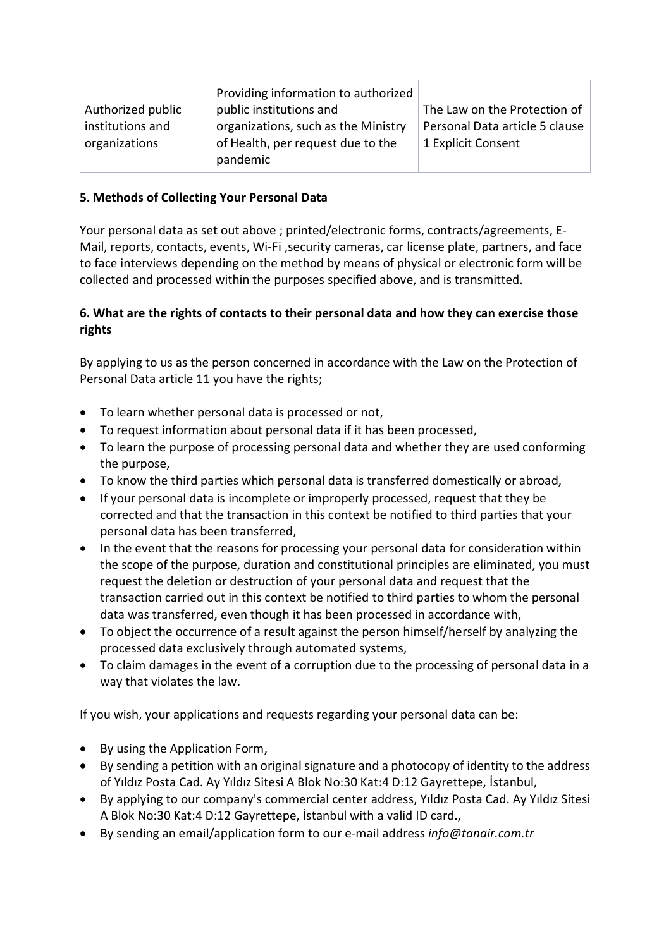|                   | Providing information to authorized |                                |
|-------------------|-------------------------------------|--------------------------------|
| Authorized public | public institutions and             | The Law on the Protection of   |
| institutions and  | organizations, such as the Ministry | Personal Data article 5 clause |
| organizations     | of Health, per request due to the   | 1 Explicit Consent             |
|                   | pandemic                            |                                |

### **5. Methods of Collecting Your Personal Data**

Your personal data as set out above ; printed/electronic forms, contracts/agreements, E-Mail, reports, contacts, events, Wi-Fi ,security cameras, car license plate, partners, and face to face interviews depending on the method by means of physical or electronic form will be collected and processed within the purposes specified above, and is transmitted.

### **6. What are the rights of contacts to their personal data and how they can exercise those rights**

By applying to us as the person concerned in accordance with the Law on the Protection of Personal Data article 11 you have the rights;

- To learn whether personal data is processed or not,
- To request information about personal data if it has been processed,
- To learn the purpose of processing personal data and whether they are used conforming the purpose,
- To know the third parties which personal data is transferred domestically or abroad,
- If your personal data is incomplete or improperly processed, request that they be corrected and that the transaction in this context be notified to third parties that your personal data has been transferred,
- In the event that the reasons for processing your personal data for consideration within the scope of the purpose, duration and constitutional principles are eliminated, you must request the deletion or destruction of your personal data and request that the transaction carried out in this context be notified to third parties to whom the personal data was transferred, even though it has been processed in accordance with,
- To object the occurrence of a result against the person himself/herself by analyzing the processed data exclusively through automated systems,
- To claim damages in the event of a corruption due to the processing of personal data in a way that violates the law.

If you wish, your applications and requests regarding your personal data can be:

- By using the Application Form,
- By sending a petition with an original signature and a photocopy of identity to the address of Yıldız Posta Cad. Ay Yıldız Sitesi A Blok No:30 Kat:4 D:12 Gayrettepe, İstanbul,
- By applying to our company's commercial center address, Yıldız Posta Cad. Ay Yıldız Sitesi A Blok No:30 Kat:4 D:12 Gayrettepe, İstanbul with a valid ID card.,
- By sending an email/application form to our e-mail address *info@tanair.com.tr*